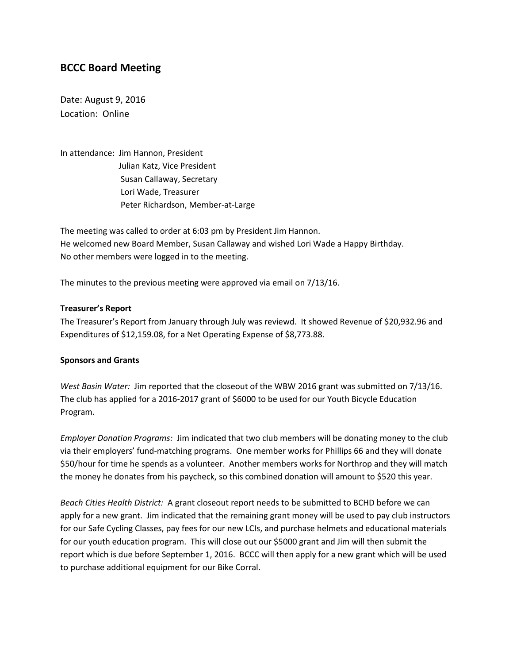# **BCCC Board Meeting**

Date: August 9, 2016 Location: Online

In attendance: Jim Hannon, President Julian Katz, Vice President Susan Callaway, Secretary Lori Wade, Treasurer Peter Richardson, Member-at-Large

The meeting was called to order at 6:03 pm by President Jim Hannon. He welcomed new Board Member, Susan Callaway and wished Lori Wade a Happy Birthday. No other members were logged in to the meeting.

The minutes to the previous meeting were approved via email on 7/13/16.

### **Treasurer's Report**

The Treasurer's Report from January through July was reviewd. It showed Revenue of \$20,932.96 and Expenditures of \$12,159.08, for a Net Operating Expense of \$8,773.88.

#### **Sponsors and Grants**

*West Basin Water:* Jim reported that the closeout of the WBW 2016 grant was submitted on 7/13/16. The club has applied for a 2016-2017 grant of \$6000 to be used for our Youth Bicycle Education Program.

*Employer Donation Programs:* Jim indicated that two club members will be donating money to the club via their employers' fund-matching programs. One member works for Phillips 66 and they will donate \$50/hour for time he spends as a volunteer. Another members works for Northrop and they will match the money he donates from his paycheck, so this combined donation will amount to \$520 this year.

*Beach Cities Health District:* A grant closeout report needs to be submitted to BCHD before we can apply for a new grant. Jim indicated that the remaining grant money will be used to pay club instructors for our Safe Cycling Classes, pay fees for our new LCIs, and purchase helmets and educational materials for our youth education program. This will close out our \$5000 grant and Jim will then submit the report which is due before September 1, 2016. BCCC will then apply for a new grant which will be used to purchase additional equipment for our Bike Corral.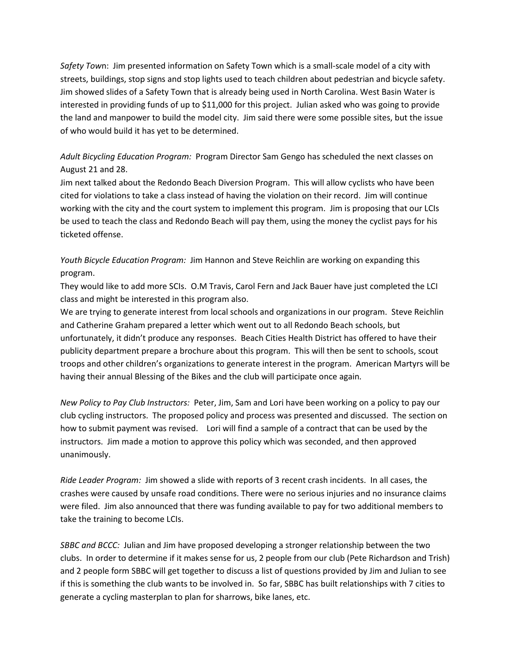*Safety Tow*n: Jim presented information on Safety Town which is a small-scale model of a city with streets, buildings, stop signs and stop lights used to teach children about pedestrian and bicycle safety. Jim showed slides of a Safety Town that is already being used in North Carolina. West Basin Water is interested in providing funds of up to \$11,000 for this project. Julian asked who was going to provide the land and manpower to build the model city. Jim said there were some possible sites, but the issue of who would build it has yet to be determined.

## *Adult Bicycling Education Program:* Program Director Sam Gengo has scheduled the next classes on August 21 and 28.

Jim next talked about the Redondo Beach Diversion Program. This will allow cyclists who have been cited for violations to take a class instead of having the violation on their record. Jim will continue working with the city and the court system to implement this program. Jim is proposing that our LCIs be used to teach the class and Redondo Beach will pay them, using the money the cyclist pays for his ticketed offense.

## *Youth Bicycle Education Program:* Jim Hannon and Steve Reichlin are working on expanding this program.

They would like to add more SCIs. O.M Travis, Carol Fern and Jack Bauer have just completed the LCI class and might be interested in this program also.

We are trying to generate interest from local schools and organizations in our program. Steve Reichlin and Catherine Graham prepared a letter which went out to all Redondo Beach schools, but unfortunately, it didn't produce any responses. Beach Cities Health District has offered to have their publicity department prepare a brochure about this program. This will then be sent to schools, scout troops and other children's organizations to generate interest in the program. American Martyrs will be having their annual Blessing of the Bikes and the club will participate once again*.*

*New Policy to Pay Club Instructors:* Peter, Jim, Sam and Lori have been working on a policy to pay our club cycling instructors. The proposed policy and process was presented and discussed. The section on how to submit payment was revised. Lori will find a sample of a contract that can be used by the instructors. Jim made a motion to approve this policy which was seconded, and then approved unanimously.

*Ride Leader Program:* Jim showed a slide with reports of 3 recent crash incidents. In all cases, the crashes were caused by unsafe road conditions. There were no serious injuries and no insurance claims were filed. Jim also announced that there was funding available to pay for two additional members to take the training to become LCIs.

*SBBC and BCCC:* Julian and Jim have proposed developing a stronger relationship between the two clubs. In order to determine if it makes sense for us, 2 people from our club (Pete Richardson and Trish) and 2 people form SBBC will get together to discuss a list of questions provided by Jim and Julian to see if this is something the club wants to be involved in. So far, SBBC has built relationships with 7 cities to generate a cycling masterplan to plan for sharrows, bike lanes, etc.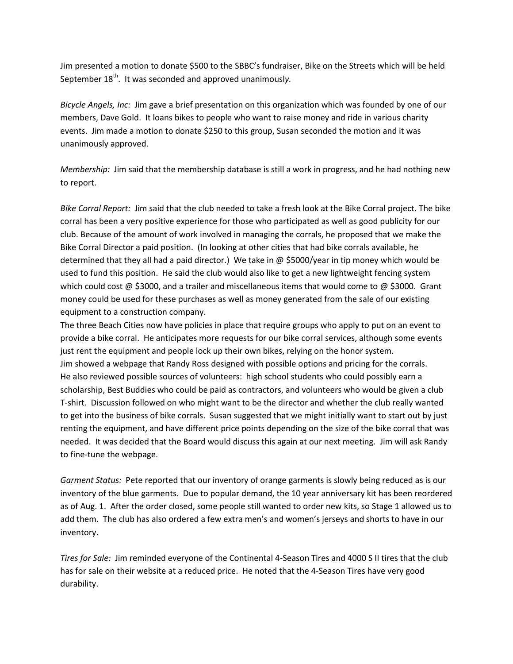Jim presented a motion to donate \$500 to the SBBC's fundraiser, Bike on the Streets which will be held September 18<sup>th</sup>. It was seconded and approved unanimously.

*Bicycle Angels, Inc:* Jim gave a brief presentation on this organization which was founded by one of our members, Dave Gold. It loans bikes to people who want to raise money and ride in various charity events. Jim made a motion to donate \$250 to this group, Susan seconded the motion and it was unanimously approved.

*Membership:* Jim said that the membership database is still a work in progress, and he had nothing new to report.

*Bike Corral Report:* Jim said that the club needed to take a fresh look at the Bike Corral project. The bike corral has been a very positive experience for those who participated as well as good publicity for our club. Because of the amount of work involved in managing the corrals, he proposed that we make the Bike Corral Director a paid position. (In looking at other cities that had bike corrals available, he determined that they all had a paid director.) We take in @ \$5000/year in tip money which would be used to fund this position. He said the club would also like to get a new lightweight fencing system which could cost  $\omega$  \$3000, and a trailer and miscellaneous items that would come to  $\omega$  \$3000. Grant money could be used for these purchases as well as money generated from the sale of our existing equipment to a construction company.

The three Beach Cities now have policies in place that require groups who apply to put on an event to provide a bike corral. He anticipates more requests for our bike corral services, although some events just rent the equipment and people lock up their own bikes, relying on the honor system. Jim showed a webpage that Randy Ross designed with possible options and pricing for the corrals. He also reviewed possible sources of volunteers: high school students who could possibly earn a scholarship, Best Buddies who could be paid as contractors, and volunteers who would be given a club T-shirt. Discussion followed on who might want to be the director and whether the club really wanted to get into the business of bike corrals. Susan suggested that we might initially want to start out by just renting the equipment, and have different price points depending on the size of the bike corral that was needed. It was decided that the Board would discuss this again at our next meeting. Jim will ask Randy to fine-tune the webpage.

*Garment Status:* Pete reported that our inventory of orange garments is slowly being reduced as is our inventory of the blue garments. Due to popular demand, the 10 year anniversary kit has been reordered as of Aug. 1. After the order closed, some people still wanted to order new kits, so Stage 1 allowed us to add them. The club has also ordered a few extra men's and women's jerseys and shorts to have in our inventory.

*Tires for Sale:* Jim reminded everyone of the Continental 4-Season Tires and 4000 S II tires that the club has for sale on their website at a reduced price. He noted that the 4-Season Tires have very good durability.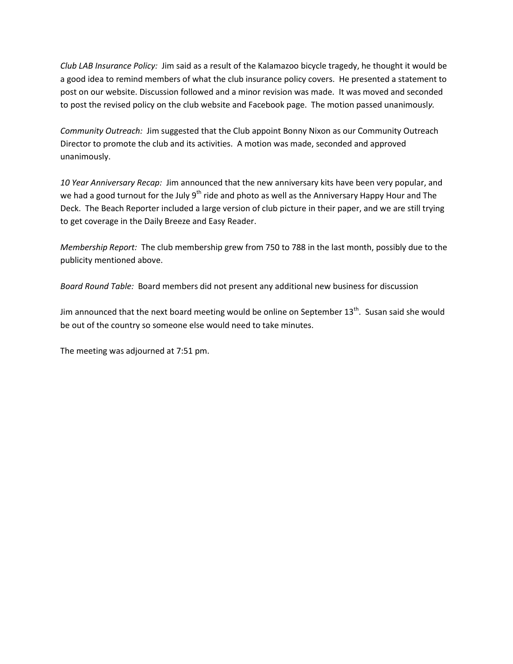*Club LAB Insurance Policy:* Jim said as a result of the Kalamazoo bicycle tragedy, he thought it would be a good idea to remind members of what the club insurance policy covers. He presented a statement to post on our website. Discussion followed and a minor revision was made. It was moved and seconded to post the revised policy on the club website and Facebook page. The motion passed unanimousl*y.*

*Community Outreach:* Jim suggested that the Club appoint Bonny Nixon as our Community Outreach Director to promote the club and its activities. A motion was made, seconded and approved unanimously.

*10 Year Anniversary Recap:* Jim announced that the new anniversary kits have been very popular, and we had a good turnout for the July 9<sup>th</sup> ride and photo as well as the Anniversary Happy Hour and The Deck. The Beach Reporter included a large version of club picture in their paper, and we are still trying to get coverage in the Daily Breeze and Easy Reader.

*Membership Report:* The club membership grew from 750 to 788 in the last month, possibly due to the publicity mentioned above.

*Board Round Table:* Board members did not present any additional new business for discussion

Jim announced that the next board meeting would be online on September  $13<sup>th</sup>$ . Susan said she would be out of the country so someone else would need to take minutes.

The meeting was adjourned at 7:51 pm.